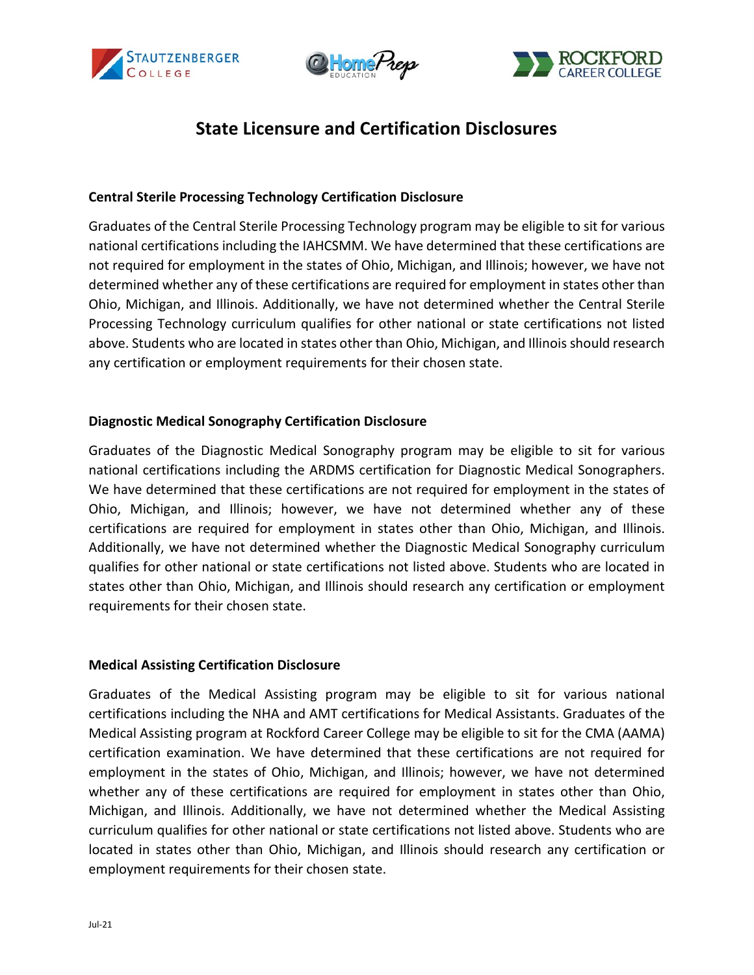





# **State Licensure and Certification Disclosures**

## **Central Sterile Processing Technology Certification Disclosure**

Graduates of the Central Sterile Processing Technology program may be eligible to sit for various national certifications including the IAHCSMM. We have determined that these certifications are not required for employment in the states of Ohio, Michigan, and Illinois; however, we have not determined whether any of these certifications are required for employment in states other than Ohio, Michigan, and Illinois. Additionally, we have not determined whether the Central Sterile Processing Technology curriculum qualifies for other national or state certifications not listed above. Students who are located in states other than Ohio, Michigan, and Illinois should research any certification or employment requirements for their chosen state.

## **Diagnostic Medical Sonography Certification Disclosure**

Graduates of the Diagnostic Medical Sonography program may be eligible to sit for various national certifications including the ARDMS certification for Diagnostic Medical Sonographers. We have determined that these certifications are not required for employment in the states of Ohio, Michigan, and Illinois; however, we have not determined whether any of these certifications are required for employment in states other than Ohio, Michigan, and Illinois. Additionally, we have not determined whether the Diagnostic Medical Sonography curriculum qualifies for other national or state certifications not listed above. Students who are located in states other than Ohio, Michigan, and Illinois should research any certification or employment requirements for their chosen state.

## **Medical Assisting Certification Disclosure**

Graduates of the Medical Assisting program may be eligible to sit for various national certifications including the NHA and AMT certifications for Medical Assistants. Graduates of the Medical Assisting program at Rockford Career College may be eligible to sit for the CMA (AAMA) certification examination. We have determined that these certifications are not required for employment in the states of Ohio, Michigan, and Illinois; however, we have not determined whether any of these certifications are required for employment in states other than Ohio, Michigan, and Illinois. Additionally, we have not determined whether the Medical Assisting curriculum qualifies for other national or state certifications not listed above. Students who are located in states other than Ohio, Michigan, and Illinois should research any certification or employment requirements for their chosen state.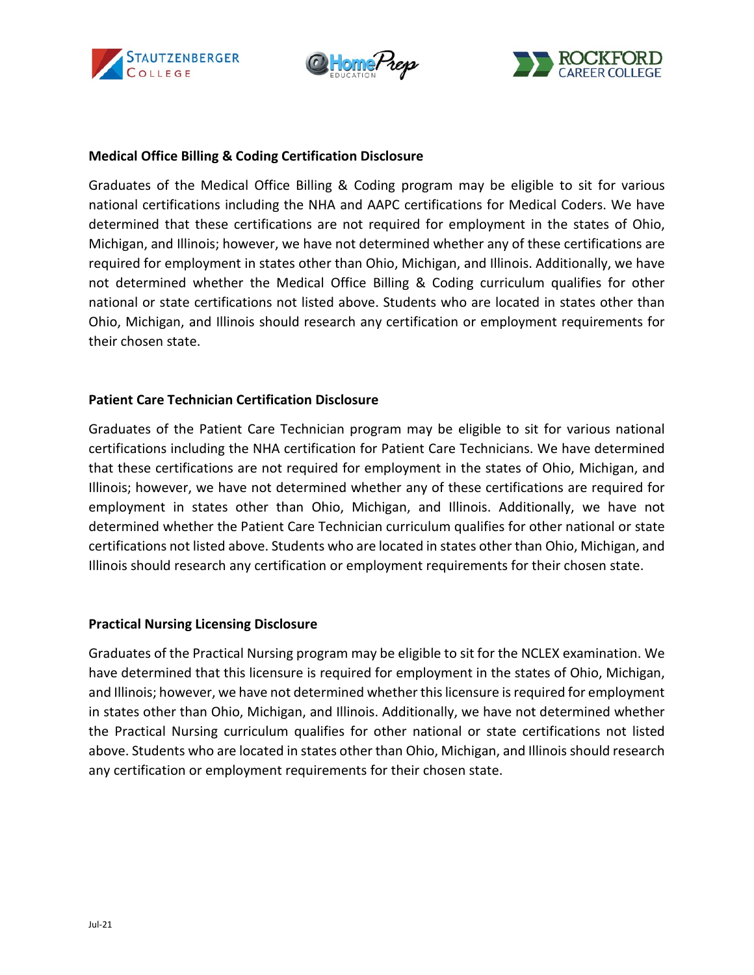





#### **Medical Office Billing & Coding Certification Disclosure**

Graduates of the Medical Office Billing & Coding program may be eligible to sit for various national certifications including the NHA and AAPC certifications for Medical Coders. We have determined that these certifications are not required for employment in the states of Ohio, Michigan, and Illinois; however, we have not determined whether any of these certifications are required for employment in states other than Ohio, Michigan, and Illinois. Additionally, we have not determined whether the Medical Office Billing & Coding curriculum qualifies for other national or state certifications not listed above. Students who are located in states other than Ohio, Michigan, and Illinois should research any certification or employment requirements for their chosen state.

## **Patient Care Technician Certification Disclosure**

Graduates of the Patient Care Technician program may be eligible to sit for various national certifications including the NHA certification for Patient Care Technicians. We have determined that these certifications are not required for employment in the states of Ohio, Michigan, and Illinois; however, we have not determined whether any of these certifications are required for employment in states other than Ohio, Michigan, and Illinois. Additionally, we have not determined whether the Patient Care Technician curriculum qualifies for other national or state certifications not listed above. Students who are located in states other than Ohio, Michigan, and Illinois should research any certification or employment requirements for their chosen state.

## **Practical Nursing Licensing Disclosure**

Graduates of the Practical Nursing program may be eligible to sit for the NCLEX examination. We have determined that this licensure is required for employment in the states of Ohio, Michigan, and Illinois; however, we have not determined whether this licensure isrequired for employment in states other than Ohio, Michigan, and Illinois. Additionally, we have not determined whether the Practical Nursing curriculum qualifies for other national or state certifications not listed above. Students who are located in states other than Ohio, Michigan, and Illinois should research any certification or employment requirements for their chosen state.